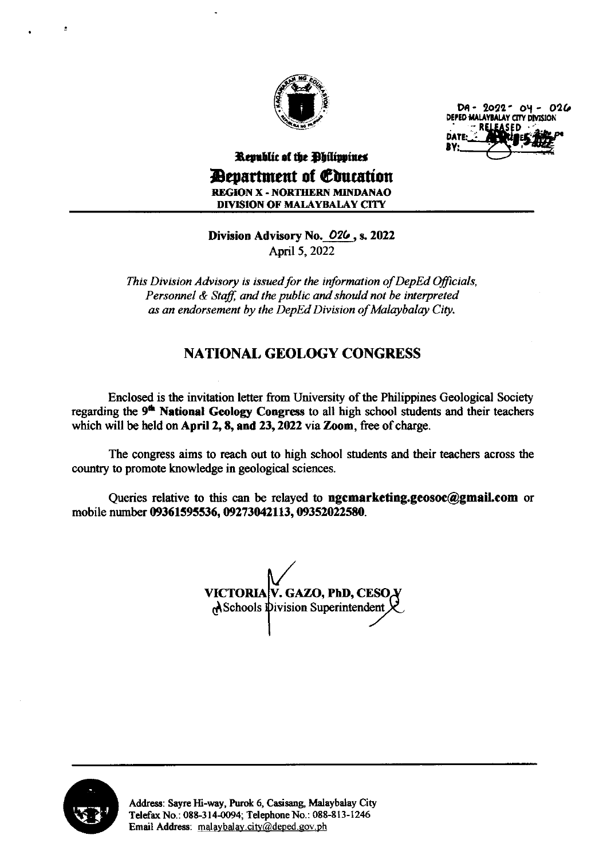

 $DA - 2022 - OY - 026$ <br>DEPED MALAYBALAY CITY DIVISION **: RELEASED** DAT<br>BY:

## Republic of the Dhilippines Department of Gtuation REGION X - NORTHERN MINDANAO

DIVISION OF MALAYBALAY CITY

### Division Advisory No. 026, s. 2022 April 5, 2022

This Division Advisory is issued for the information of DepEd Oficials, Personnel & Staff, and the public and should not be interpreted as an endorsement by the DepEd Division of Malaybalay City.

## NATIONAL GEOLOGY CONGRESS

Enclosed is the invitation letter from University of the Philippines Geological Society regarding the 9<sup>th</sup> National Geology Congress to all high school students and their teachers which will be held on April 2, 8, and 23, 2022 via Zoom, free of charge.

The congress aims to reach out to high school students and their teachers across the country to promote knowledge in geological sciences.

Queries relative to this can be relayed to **ngcmarketing.geosoc@gmail.com** or mobile number 09361595536, 09273042113, 09352022580.

VICTORIA V. GAZO, PhD, CESOA A Schools Division Superintendent

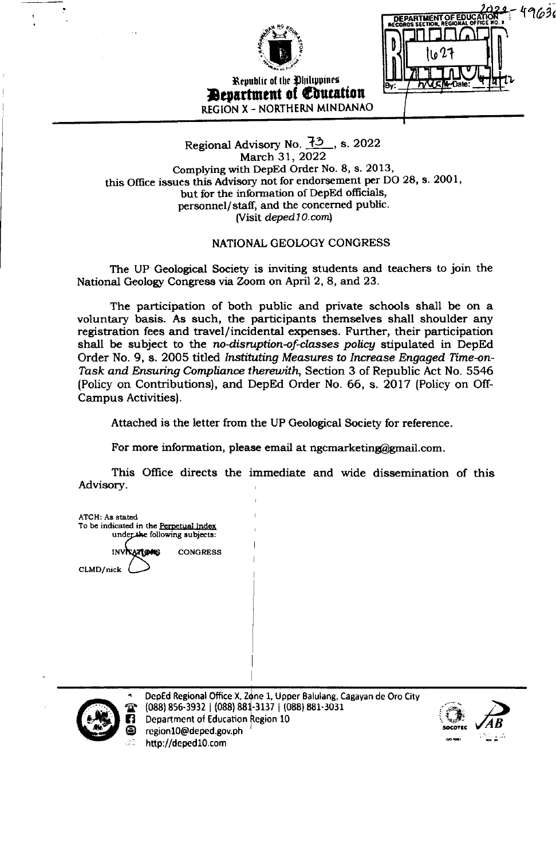

Republic of the Ohilippines **Department of Education** REGION X - NORTHERN MINDANAO

49636 DEPARTMENT OF EDUC

#### Regional Advisory No. 73, s. 2022 March 31, 2022 Complying with DepEd Order No. 8, s. 2013, this Office issues this Advisory not for endorsement per DO 28, s. 2001, but for the information of DepEd officials, personnel/staff, and the concerned public. (Visit deped10.com)

#### NATIONAL GEOLOGY CONGRESS

The UP Geological Society is inviting students and teachers to join the National Geology Congress via Zoom on April 2, 8, and 23.

The participation of both public and private schools shall be on a voluntary basis. As such, the participants themselves shall shoulder any registration fees and travel/incidental expenses. Further, their participation shall be subject to the no-disruption-of-classes policy stipulated in DepEd Order No. 9, s. 2005 titled Instituting Measures to Increase Engaged Time-on-Task and Ensuring Compliance therewith, Section 3 of Republic Act No. 5546 (Policy on Contributions), and DepEd Order No. 66, s. 2017 (Policy on Off-Campus Activities).

Attached is the letter from the UP Geological Society for reference.

For more information, please email at ngcmarketing@gmail.com.

This Office directs the immediate and wide dissemination of this Advisory.

**ATCH: As stated** To be indicated in the Perpetual Index under the following subjects: INVISATIONS **CONGRESS** CLMD/nick



DepEd Regional Office X, Zone 1, Upper Balulang, Cagayan de Oro City (088) 856-3932 | (088) 881-3137 | (088) 881-3031 Department of Education Region 10 region10@deped.gov.ph http://deped10.com

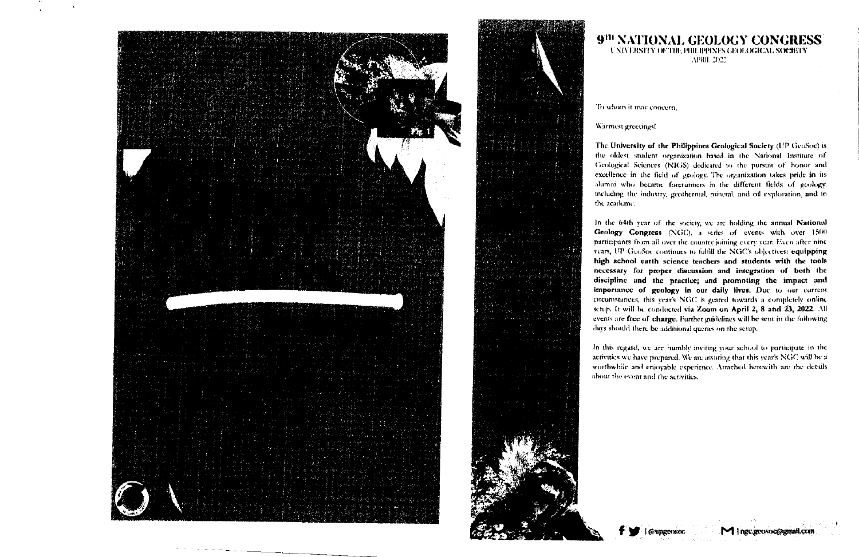

9<sup>fti</sup> NATIONAL GEOLOGY CONGRESS UNIVERSITY OF THE PHILIPPINES GEOLOGICAL SOCIETY APRIL 2022

To whom it may concern.

#### Warmest greetings!

The University of the Philippines Geological Society (UP GeoSoc) is the oldest student organization based in the National Institute of Geological Sciences (NIGS) dedicated to the pursuit of honor and excellence in the field of geology. The organization takes pride in its alumni who became forerunners in the different fields of geology, including the industry, geothermal, mineral, and oil exploration, and inthe academe.

In the 64th year of the society, we are holding the annual National Geology Congress (NGC), a series of events with over 1500 participants from all over the country joining every year. Even after nine years, UP GcoSoc continues to fulfill the NGC's objectives: equipping high school earth science teachers and students with the tools necessary for proper discussion and integration of both the discipline and the practice; and promoting the impact and importance of geology in our daily lives. Due to our current circumstances, this year's NGC is geared towards a completely online setup. It will be conducted via Zoom on April 2, 8 and 23, 2022. All events are free of charge. Further guidelines will be sent in the following days should there be additional queries on the setup.

In this regard, we are humbly inviting your school to participate in the activities we have prepared. We are assuring that this year's NGC will be a worthwhile and enjoyable experience. Attached herewith are the details about the event and the activities.

Cupgeosoc

M | ngc geosoc@gmail.com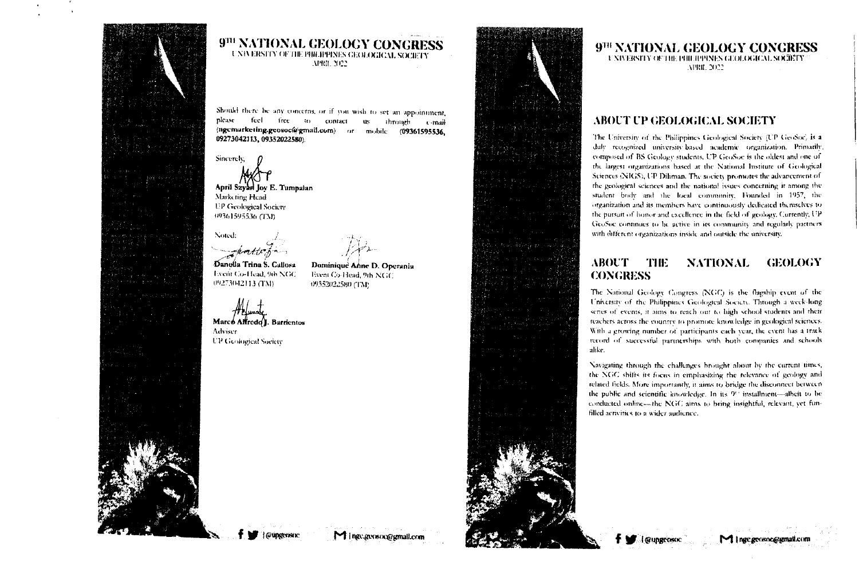

9<sup>111</sup> NATIONAL GEOLOGY CONGRESS UNIVERSITY OF THE PHILIPPINES GEOLOGICAL SOCIETY APRIL 2022

Should there be any concerns, or if you wish to set an appointment, feel free to contact please us through c-mail (ngcmarketing.geosoc@gmail.com) or mobile (09361595536, 09273042113, 09352022580).

Dominique Anne D. Operania

Event Co-Head, 9th NGC

09352022580 (TM)

Sincerely.

April Szyan Joy E. Tumpalan Marketing Head **EP Geological Society** 09361595536 (TM)

Noted: <del>sno</del>ottr'h

Danolla Trina S. Callosa **Event Co-Head, 9th NGC** 09273042113 (TM)

Marco Altredo I. Barrientos

Adviser **UP Geological Society** 

*GAINGCONDE* 

Minge.gensoc@gmail.com



## 9<sup>TH</sup> NATIONAL GEOLOGY CONGRESS

UNIVERSITY OF THE PHILIPPINES GEOLOGICAL SOURTY APRIL 2022

#### ABOUT UP GEOLOGICAL SOCIETY

The University of the Philippines Geological Society (UP GeoSoc) is a duly recognized university-based academic organization. Primarily, composed of BS Geology students, UP GeoSoc is the oldest and one of the largest organizations based at the National Institute of Geological Sciences (NIGS), UP Diliman. The society promotes the advancement of the geological sciences and the national issues concerning it among the student body and the local community. Founded in 1957, the organization and its members have continuously dedicated themselves to the pursuit of honor and excellence in the field of geology. Currently, UP GeoSoc continues to be active in its community and regularly partners with different organizations inside and outside the university.

#### **ABOUT** THE **NATIONAL** GEOLOGY **CONGRESS**

The National Geology Congress (NGC) is the flagship event of the University of the Philippines Geological Society. Through a week-long series of events, it aims to reach out to high school students and their teachers across the country to promote knowledge in geological sciences. With a growing number of participants each year, the event has a track record of successful partnerships with both companies and schools alike.

Navigating through the challenges brought about by the current times, the NGC shifts its focus in emphasizing the relevance of geology and related fields. More importantly, it aims to bridge the disconnect between the public and scientific knowledge. In its 9<sup>th</sup> installment-albeit to be conducted online-the NGC aims to bring insightful, relevant, yet funfilled activities to a wider audience.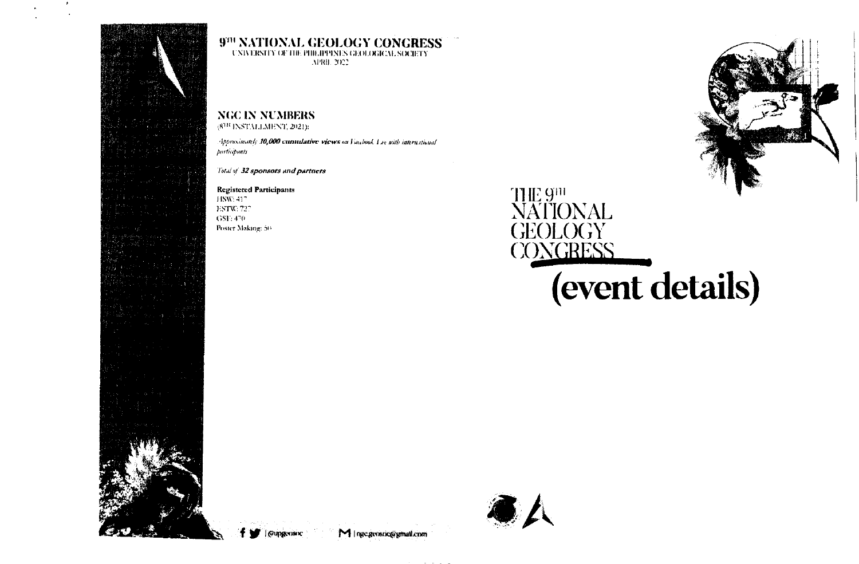



## 979 NATIONAL GEOLOGY CONGRESS CNINESITY OF THE PHILIPPINES GEOLOGICAL SOCIETY

APRIL 2022

## **NGC IN NUMBERS**

 $(8^{111}\text{ INSTALLMENT}, 2021)$ :

Approximately 10,000 currillative views on Facebook Lee with international *participants* 

Total of 32 sponsors and partners

**Registered Participants** HSW: 417

ESTW: 727  $GSF.470$ 

Poster Making: 50





(event details)



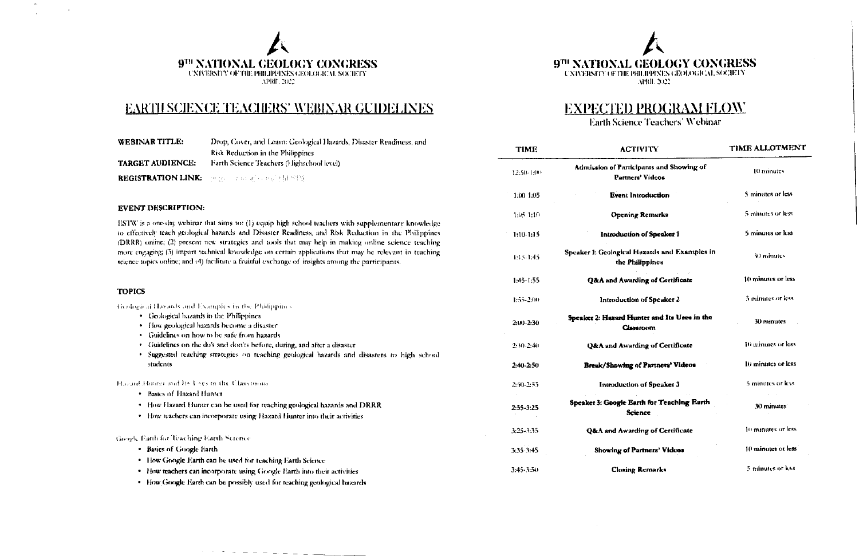

## **EARTH SCIENCE TEACHERS' WEBINAR GUIDELINES**

| WEBINAR TITLE:          | Drop, Cover, and Learn: Geological Hazards, Disaster Readiness, and |  |
|-------------------------|---------------------------------------------------------------------|--|
|                         | Risk Reduction in the Philippines                                   |  |
| <b>TARGET AUDIENCE:</b> | <b>Farth Science Teachers (Highschool level)</b>                    |  |
|                         | <b>REGISTRATION LINK: Preservation of the STW</b>                   |  |

#### **EVENT DESCRIPTION:**

ESTW is a one-day webinar that aims to: (1) equip high school teachers with supplementary knowledge to effectively teach geological hazards and Disaster Readiness, and Risk Reduction in the Philippines (DRRR) online; (2) present new strategies and tools that may help in making online science teaching more engaging; (3) impart technical knowledge on certain applications that may be relevant in teaching science topics online; and (4) facilitate a fruitful exchange of insights among the participants.

#### TOBICS

 $\Delta_{\rm I}$ 

 $\sim$ 

| TULICS                                                                                      | 1:55-2:00     |       |
|---------------------------------------------------------------------------------------------|---------------|-------|
| Geological Hazards and Examples in the Philippines                                          |               |       |
| • Geological bazards in the Philippines                                                     |               | Speak |
| • How geological hazards become a disaster                                                  | $2:10-2:30$   |       |
| • Guidelines on how to be safe from hazards                                                 |               |       |
| Guidelines on the do's and don'ts before, during, and after a disaster<br>۰                 | $2:30-2:40$   |       |
| · Suggested teaching strategies on teaching geological hazards and disasters to high school |               |       |
| students                                                                                    | $2:40 - 2:50$ | Г     |
| Hazaid Honter and Its Uses m the Classroom                                                  | 2:50-2:55     |       |
| <b>Basics of Hazard Hunter</b><br>٠                                                         |               |       |
| How Hazard Hunter can be used for reaching geological hazards and DRRR<br>٠                 | $2:55-3:25$   | Speak |
| How teachers can incorporate using Hazard Hunter into their activities<br>٠                 |               |       |
|                                                                                             | 3:25-3:35     |       |
| Google Batth for Teaching Earth Science                                                     |               |       |
| • Basics of Google Earth                                                                    | 3:35.3:45     |       |
| How Google Earth can be used for teaching Earth Science<br>٠                                |               |       |
| • How teachers can incorporate using Google Earth into their activities                     | $3:45 - 3:50$ |       |

. How Google Earth can be possibly used for teaching geological hazards

 $\mathcal{F}(\mathcal{F})=\mathcal{F}(\mathcal{F})=\mathcal{F}(\mathcal{F})=\mathcal{F}(\mathcal{F})=\mathcal{F}(\mathcal{F})=\mathcal{F}(\mathcal{F})$ 

9TH NATIONAL GEOLOGY CONGRESS **UNIVERSITY OF THE PHILIPPINES GEOLOGICAL SOCIETY** APRIL 2022

## **EXPECTED PROGRAM FLOW**

Earth Science Teachers' Webinar

| <b>TIME</b>   | <b>ACTIVITY</b>                                                  | TIME ALLOTMENT     |
|---------------|------------------------------------------------------------------|--------------------|
| 12:50-1:00    | Admission of Participants and Showing of<br>Partners' Videos     | 10 minutes         |
| 1:00 1:05     | <b>Event Introduction</b>                                        | 5 minutes or less  |
| 1:05 1:10     | <b>Opening Remarks</b>                                           | 5 minutes or less  |
| $1:10-1:15$   | Introduction of Speaker 1                                        | 5 minutes or less  |
| 1:15-1:45     | Speaker 1: Geological Hazards and Examples in<br>the Philippines | 30 minutes.        |
| $1:45-1:55$   | <b>Q&amp;A</b> and Awarding of Certificate                       | 10 minutes or less |
| 1:55-2:00     | Introduction of Speaker 2                                        | 5 minutes or less  |
| 2:113-2:30    | Speaker 2: Hazard Hunter and Its Uses in the<br>Classroom        | 30 minutes         |
| $2:30-2:40$   | <b>Q&amp;A</b> and Awarding of Certificate                       | 10 minutes or less |
| 2:40-2:50     | <b>Break/Showing of Partners' Videos</b>                         | 10 minutes or less |
| 2:50-2:55     | Introduction of Speaker 3                                        | 5 minutes or less  |
| $2:55 - 3:25$ | Speaker 3: Google Earth for Teaching Earth<br><b>Science</b>     | 30 minutes         |
| $3:25 - 3:35$ | <b>Q&amp;A and Awarding of Certificate</b>                       | 10 minutes or less |
| 3:35.3:45     | <b>Showing of Partners' Videos</b>                               | 10 minutes or less |
| $3:45 - 3:50$ | <b>Closing Remarks</b>                                           | 5 minutes or less  |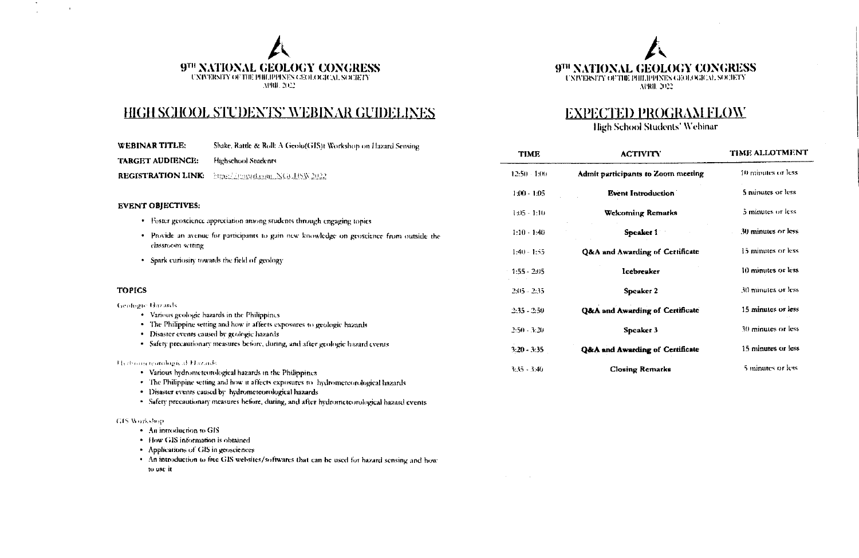



## HIGH SCHOOL STUDENTS' WEBINAR GUIDELINES

#### **EXPECTED PROGRAM FLOW**

High School Students' Webinar

| <b>WEBINAR TITLE:</b>        | Shake, Rattle & Roll: A Geolo(GIS)t Workshop on Hazard Sensing                                                            |                |                                            |                    |
|------------------------------|---------------------------------------------------------------------------------------------------------------------------|----------------|--------------------------------------------|--------------------|
| <b>TARGET AUDIENCE:</b>      | Highschool Students                                                                                                       | <b>TIME</b>    | <b>ACTIVITY</b>                            | TIME ALLOTMENT     |
| <b>REGISTRATION LINK:</b>    | https://tmyad.com NGCHSN 2022                                                                                             | $12:50 - 1:00$ | Admit participants to Zoom meeting         | 10 minutes or less |
|                              |                                                                                                                           | $1:00 - 1.05$  | <b>Event Introduction</b>                  | 5 minutes or less  |
| <b>EVENT OBJECTIVES:</b>     | · Foster geoscience appreciation among students through engaging topics                                                   | $1:05 - 1:10$  | <b>Welcoming Remarks</b>                   | 5 minutes or less  |
|                              | · Provide an avenue for participants to gain new knowledge on geoscience from outside the                                 | $1:10 - 1.40$  | <b>Speaker 1</b>                           | 30 minutes or less |
| classroom setting            | . Spark curiosity towards the field of geology                                                                            | $1:40 - 1:55$  | Q&A and Awarding of Certificate            | 15 minutes or less |
|                              |                                                                                                                           | $1:55 - 2:05$  | Icebreaker                                 | 10 minutes or less |
| <b>TOPICS</b>                |                                                                                                                           | $2:15 - 2:35$  | Speaker 2                                  | 30 minutes or less |
| <b>Geologic Hazards</b>      | • Various geologic hazards in the Philippines                                                                             | $2:35 - 2:50$  | <b>Q&amp;A</b> and Awarding of Certificate | 15 minutes or less |
|                              | · The Philippine setting and how it affects exposures to geologic hazards<br>· Disaster events caused by geologic hazards | $2:50 - 3:20$  | Speaker 3                                  | 30 minutes or less |
|                              | • Safety precautionary measures before, during, and after geologic hazard events.                                         | $3:20 - 3:35$  | <b>Q&amp;A and Awarding of Certificate</b> | 15 minutes or less |
| Herbroom teambogical Hozards | . Various high increased orient havants in the Philippines.                                                               | $3:35 - 3:40$  | <b>Closing Remarks</b>                     | 5 minutes or less  |

- · Various hydrometeorological hazards in the Philippines
- · The Philippine setting and how it affects exposures to hydrometeorological hazards
- · Disaster events caused by hydrometeorological hazards
- · Safety precautionary measures before, during, and after hydrometeorological hazard events

#### **CIS Workshop**

 $\sim$ 

 $\mathbf{r}$ 

- An introduction to GIS
- · How GIS information is obtained
- Applications of GIS in geosciences
- . An introduction to free GIS websites/softwares that can be used for hazard sensing and how to use it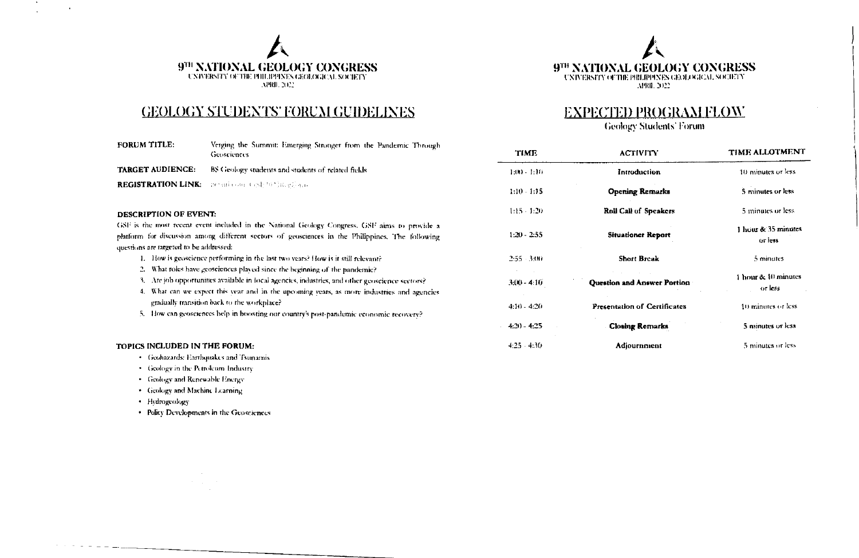



## **GEOLOGY STUDENTS' FORUM GUIDELINES**

| <b>FORUM TITLE:</b>     | Verging the Summit: Emerging Stronger from the Pandemic Through<br>Geosciences |
|-------------------------|--------------------------------------------------------------------------------|
| <b>TARGET AUDIENCE:</b> | BS Geology students and students of related fields                             |
|                         | <b>REGISTRATION LINK:</b> an advocated the base of an                          |

#### **DESCRIPTION OF EVENT:**

GSF is the most recent event included in the National Geology Congress. GSF aims to provide a platform for discussion among different sectors of geosciences in the Philippines. The following questions are targeted to be addressed:

- 1. How is geoscience performing in the last two years? How is it still relevant?
- 2. What roles have geosciences played since the beginning of the pandemic?
- 3. Are job opportunines available in local agencies, industries, and other geoscience sectors?
- 4. What can we expect this year and in the upcoming years, as more industries and agencies gradually transition back to the workplace?
- 5. How can geosciences help in boosting our country's post-pandemic economic recovery?

#### TOPICS INCLUDED IN THE FORUM:

- Geohazards: Earthquakes and Tsunamis
- · Geology in the Petroleum Industry
- Geology and Renewable Energy
- · Geology and Machine Learning
- · Hydrogeology

 $\label{eq:3.1} \gamma_{\alpha}(\omega_{\alpha})=\gamma_{\alpha}(\omega_{\alpha})=\gamma_{\alpha}(\omega_{\alpha})\gamma_{\alpha}(\omega_{\alpha})\gamma_{\alpha}(\omega_{\alpha})$ 

• Policy Developments in the Geosciences

## **EXPECTED PROGRAM FLOW**

**Geology Students' Forum** 

| <b>TIME</b>    | <b>ACTIVITY</b>                     | <b>TIME ALLOTMENT</b>          |
|----------------|-------------------------------------|--------------------------------|
| $1:100 - 1:10$ | Introduction                        | 10 minutes or less             |
| 1:10 - 1:15    | <b>Opening Remarks</b>              | 5 minutes or less              |
| 1:15 - 1:20    | Roll Call of Speakers               | 5 minutes or less              |
| 1:20 - 2:55    | <b>Situationer Report</b>           | 1 hour & 35 minutes<br>or less |
| 2:55 - 3:00    | <b>Short Break</b>                  | 5 minutes                      |
| $3(10 - 4.10)$ | Question and Answer Portion         | 1 hour & 10 minutes<br>or less |
| 4:10 - 4:20    | <b>Presentation of Certificates</b> | 10 minutes or less             |
| 4:20 - 4:25    | <b>Closing Remarks</b>              | 5 minutes or less              |
| $1.25 - 4.30$  | Adjournment                         | 5 minutes or less              |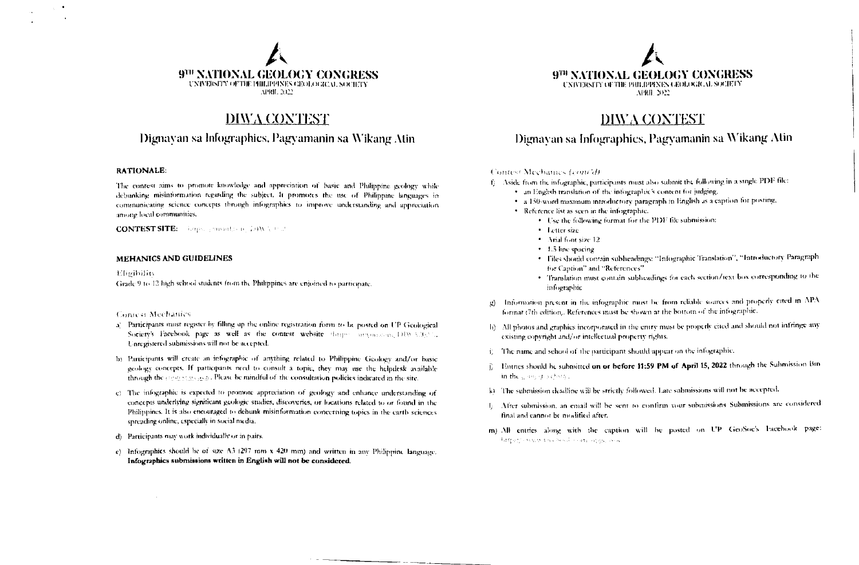

## DIWA CONTEST

#### Dignavan sa Infographics, Pagyamanin sa Wikang Atin

#### **RATIONALE:**

 $\sim$ 

The contest aims to promote knowledge and appreciation of basic and Philippine geology while debunking misinformation regarding the subject. It promotes the use of Philippine languages in communicating science concepts through infographies to improve understanding and appreciation among local communities.

**CONTEST SITE:** Gerpany provides an IRBN & Out

#### **MEHANICS AND GUIDELINES**

Eligibility Grade 9 to 12 high school students from the Philippines are enjoined to participate.

#### Coniesi Mechanics

 $\sim$ 

- a) Participants must register by filling up the online registration form to be posted on UP Geological Society's Facebook page as well as the contest website that per arguments, DDV 3.302%. I nregistered submissions will not be accepted.
- b) Participants will create an infographic of anything related to Philippine Geology and/or basic geology concepts. If participants need to consult a topic, they may use the helpdesk available through the context seaso. Please be mindful of the consultation policies indicated in the site.
- c) The infographic is expected to promote appreciation of geology and enhance understanding of concepts underlying significant geologic studies, discoveries, or locations related to or found in the Philippines. It is also encouraged to debunk misinformation concerning topics in the earth sciences spreading online, especially in social media.
- d) Participants may work individually or in pairs.
- c) Infographics should be of size A3 (297 nom x 420 mm) and written in any Philippine language. Infographics submissions written in English will not be considered.



### DIWA CONTEST

Dignayan sa Infographics, Pagyamanin sa Wikang Atin

#### Contest Mechanics (cont'd)

- f) Aside from the infographic, participants must also submit the following in a single PDF file:
	- . an English translation of the infographic's content for judging,
	- · a 150-word maximum introductory paragraph in English as a caption for posting,
	- · Reference list as seen in the infographic.
		- Use the following format for the PDF file submission:
		- · Letter size
		- \* Arial font size 12
		- 1.5 line spacing
		- · Files should contain subheadings: "Infographic Translation", "Introductory Paragraph for Caption" and "References"
		- · Translation must contain subheadings for each section/text box corresponding to the infographic
- g) Information present in the infographic must be from reliable sources and properly cited in APA format (7th edition). References must be shown at the bottom of the infographic.
- h) All photos and graphics incorporated in the entry must be properly cited and should not infringe any existing copyright and/or intellectual property rights.
- i) The name and school of the participant should appear on the infographic.
- j. Entries should be submitted on or before 11:59 PM of April 15, 2022 through the Submission Bin in the gastop particular
- (k) The submission deadline will be strictly followed. Late submissions will not be accepted.
- 1) After submission, an email will be sent to confirm your submissions Submissions are considered final and cannot be modified after.
- m) All entries along with the caption will be posted on UP GeoSoc's liacebook page: https://www.racewol.com/ingulance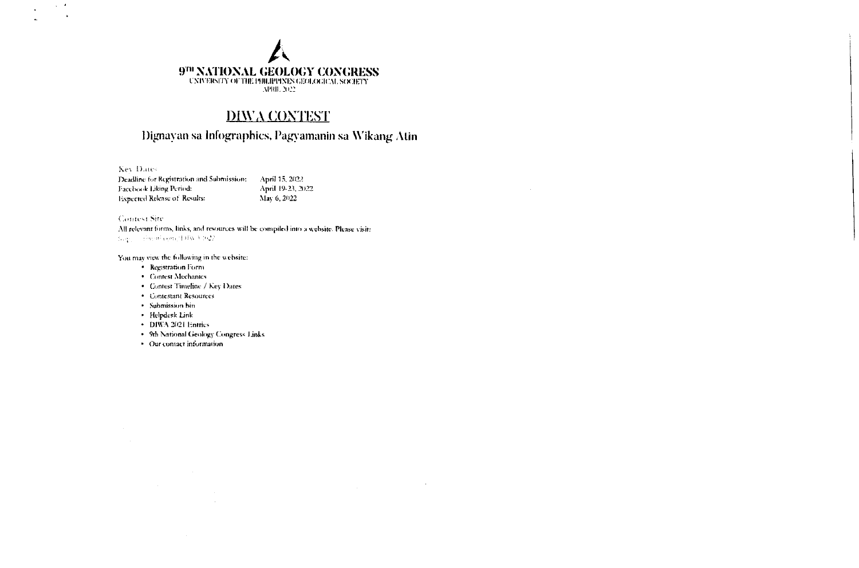# $\left\{ \begin{array}{lcl} 9^{\text{TH}} & \text{NATIONAL} & \text{GEOLOGY CONGRESS} \\ \text{CNNERSITY OF THE PHILPPINES GEOLOGICAL SOCIENT} \\ & \text{NPRI. 2022} \end{array} \right.$

## **DIWA CONTEST**

## Dignayan sa Infographics, Pagyamanin sa Wikang Atin

 $\sim 10$ 

**Key Dates** 

 $\Delta \sim 10^4$ 

| Deadline for Registration and Submission: | April 15, 2022     |
|-------------------------------------------|--------------------|
| <b>Facebook Liking Period:</b>            | April 19-23, 2022. |
| <b>Expected Release of Results:</b>       | Max 6, 2022        |

Contest Site All relevant forms, links, and resources will be compiled into a website. Please visit: Juge - Form opactilly v 602

You may view the following in the website:

- · Registration Form
- Contest Mechanics
- Contest Timeline / Key Dates
- Contestant Resources
- · Submission bin
- · Helpdesk Link
- DIWA 2021 Entries
- 9th National Geology Congress Links

 $\sim 10^{-1}$ 

· Our contact information